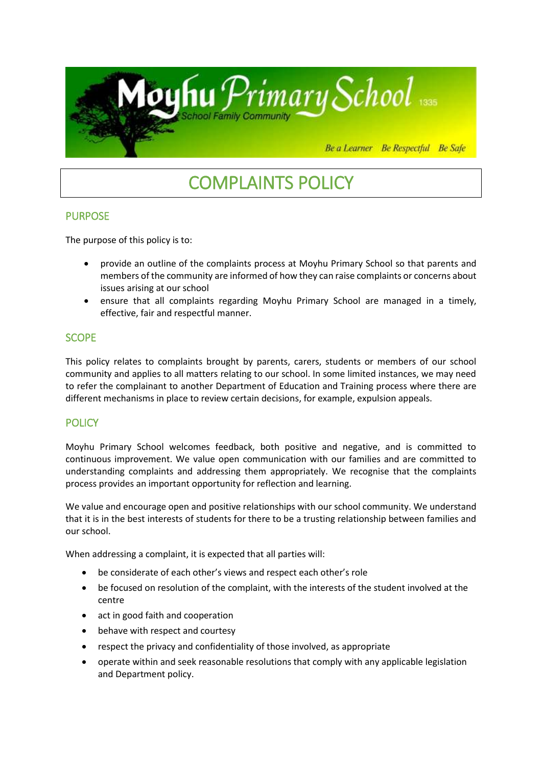

# COMPLAINTS POLICY

# PURPOSE

The purpose of this policy is to:

- provide an outline of the complaints process at Moyhu Primary School so that parents and members of the community are informed of how they can raise complaints or concerns about issues arising at our school
- ensure that all complaints regarding Moyhu Primary School are managed in a timely, effective, fair and respectful manner.

# **SCOPE**

This policy relates to complaints brought by parents, carers, students or members of our school community and applies to all matters relating to our school. In some limited instances, we may need to refer the complainant to another Department of Education and Training process where there are different mechanisms in place to review certain decisions, for example, expulsion appeals.

# **POLICY**

Moyhu Primary School welcomes feedback, both positive and negative, and is committed to continuous improvement. We value open communication with our families and are committed to understanding complaints and addressing them appropriately. We recognise that the complaints process provides an important opportunity for reflection and learning.

We value and encourage open and positive relationships with our school community. We understand that it is in the best interests of students for there to be a trusting relationship between families and our school.

When addressing a complaint, it is expected that all parties will:

- be considerate of each other's views and respect each other's role
- be focused on resolution of the complaint, with the interests of the student involved at the centre
- act in good faith and cooperation
- behave with respect and courtesy
- respect the privacy and confidentiality of those involved, as appropriate
- operate within and seek reasonable resolutions that comply with any applicable legislation and Department policy.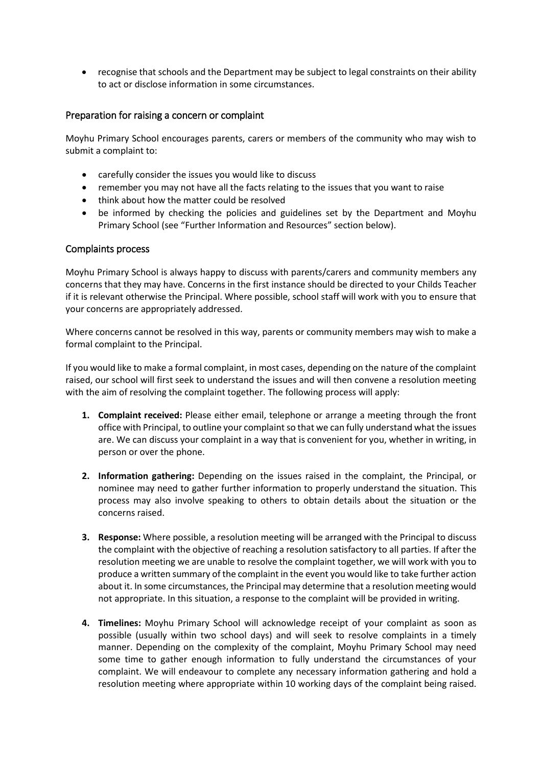recognise that schools and the Department may be subject to legal constraints on their ability to act or disclose information in some circumstances.

#### Preparation for raising a concern or complaint

Moyhu Primary School encourages parents, carers or members of the community who may wish to submit a complaint to:

- carefully consider the issues you would like to discuss
- remember you may not have all the facts relating to the issues that you want to raise
- think about how the matter could be resolved
- be informed by checking the policies and guidelines set by the Department and Moyhu Primary School (see "Further Information and Resources" section below).

#### Complaints process

Moyhu Primary School is always happy to discuss with parents/carers and community members any concerns that they may have. Concerns in the first instance should be directed to your Childs Teacher if it is relevant otherwise the Principal. Where possible, school staff will work with you to ensure that your concerns are appropriately addressed.

Where concerns cannot be resolved in this way, parents or community members may wish to make a formal complaint to the Principal.

If you would like to make a formal complaint, in most cases, depending on the nature of the complaint raised, our school will first seek to understand the issues and will then convene a resolution meeting with the aim of resolving the complaint together. The following process will apply:

- **1. Complaint received:** Please either email, telephone or arrange a meeting through the front office with Principal, to outline your complaint so that we can fully understand what the issues are. We can discuss your complaint in a way that is convenient for you, whether in writing, in person or over the phone.
- **2. Information gathering:** Depending on the issues raised in the complaint, the Principal, or nominee may need to gather further information to properly understand the situation. This process may also involve speaking to others to obtain details about the situation or the concerns raised.
- **3. Response:** Where possible, a resolution meeting will be arranged with the Principal to discuss the complaint with the objective of reaching a resolution satisfactory to all parties. If after the resolution meeting we are unable to resolve the complaint together, we will work with you to produce a written summary of the complaint in the event you would like to take further action about it. In some circumstances, the Principal may determine that a resolution meeting would not appropriate. In this situation, a response to the complaint will be provided in writing.
- **4. Timelines:** Moyhu Primary School will acknowledge receipt of your complaint as soon as possible (usually within two school days) and will seek to resolve complaints in a timely manner. Depending on the complexity of the complaint, Moyhu Primary School may need some time to gather enough information to fully understand the circumstances of your complaint. We will endeavour to complete any necessary information gathering and hold a resolution meeting where appropriate within 10 working days of the complaint being raised.